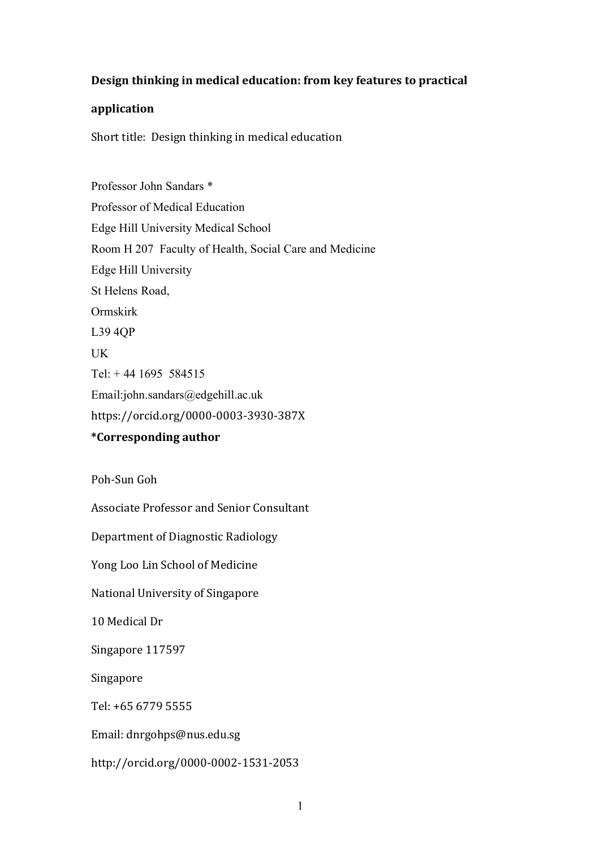# **Design thinking in medical education: from key features to practical**

# **application**

Short title: Design thinking in medical education

Professor John Sandars \* Professor of Medical Education Edge Hill University Medical School Room H 207 Faculty of Health, Social Care and Medicine Edge Hill University St Helens Road, Ormskirk L39 4QP UK Tel: + 44 1695 584515 Email:john.sandars@edgehill.ac.uk https://orcid.org/0000-0003-3930-387X **\*Corresponding author**

Poh-Sun Goh

Associate Professor and Senior Consultant

Department of Diagnostic Radiology

Yong Loo Lin School of Medicine

National University of Singapore

10 Medical Dr

Singapore 117597

Singapore

Tel: +65 6779 5555

Email: dnrgohps@nus.edu.sg

http://orcid.org/0000-0002-1531-2053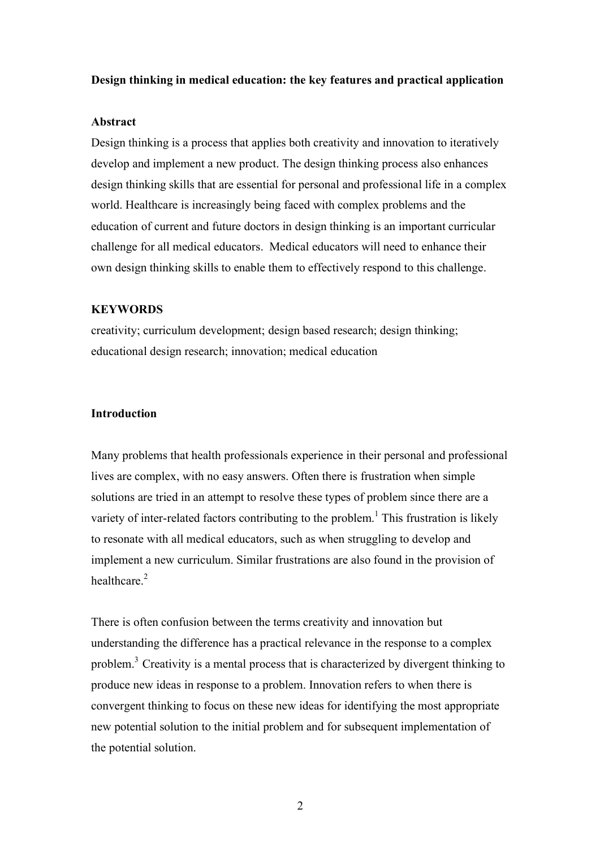### **Design thinking in medical education: the key features and practical application**

### **Abstract**

Design thinking is a process that applies both creativity and innovation to iteratively develop and implement a new product. The design thinking process also enhances design thinking skills that are essential for personal and professional life in a complex world. Healthcare is increasingly being faced with complex problems and the education of current and future doctors in design thinking is an important curricular challenge for all medical educators. Medical educators will need to enhance their own design thinking skills to enable them to effectively respond to this challenge.

## **KEYWORDS**

creativity; curriculum development; design based research; design thinking; educational design research; innovation; medical education

# **Introduction**

Many problems that health professionals experience in their personal and professional lives are complex, with no easy answers. Often there is frustration when simple solutions are tried in an attempt to resolve these types of problem since there are a variety of inter-related factors contributing to the problem.<sup>1</sup> This frustration is likely to resonate with all medical educators, such as when struggling to develop and implement a new curriculum. Similar frustrations are also found in the provision of healthcare $^2$ 

There is often confusion between the terms creativity and innovation but understanding the difference has a practical relevance in the response to a complex problem.3 Creativity is a mental process that is characterized by divergent thinking to produce new ideas in response to a problem. Innovation refers to when there is convergent thinking to focus on these new ideas for identifying the most appropriate new potential solution to the initial problem and for subsequent implementation of the potential solution.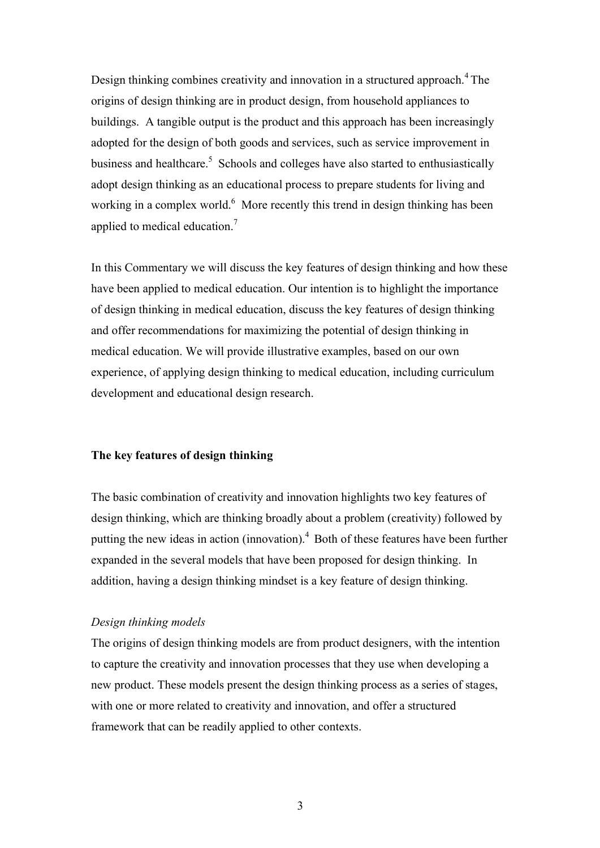Design thinking combines creativity and innovation in a structured approach.<sup>4</sup> The origins of design thinking are in product design, from household appliances to buildings. A tangible output is the product and this approach has been increasingly adopted for the design of both goods and services, such as service improvement in business and healthcare.<sup>5</sup> Schools and colleges have also started to enthusiastically adopt design thinking as an educational process to prepare students for living and working in a complex world. $<sup>6</sup>$  More recently this trend in design thinking has been</sup> applied to medical education.<sup>7</sup>

In this Commentary we will discuss the key features of design thinking and how these have been applied to medical education. Our intention is to highlight the importance of design thinking in medical education, discuss the key features of design thinking and offer recommendations for maximizing the potential of design thinking in medical education. We will provide illustrative examples, based on our own experience, of applying design thinking to medical education, including curriculum development and educational design research.

# **The key features of design thinking**

The basic combination of creativity and innovation highlights two key features of design thinking, which are thinking broadly about a problem (creativity) followed by putting the new ideas in action (innovation).<sup>4</sup> Both of these features have been further expanded in the several models that have been proposed for design thinking. In addition, having a design thinking mindset is a key feature of design thinking.

### *Design thinking models*

The origins of design thinking models are from product designers, with the intention to capture the creativity and innovation processes that they use when developing a new product. These models present the design thinking process as a series of stages, with one or more related to creativity and innovation, and offer a structured framework that can be readily applied to other contexts.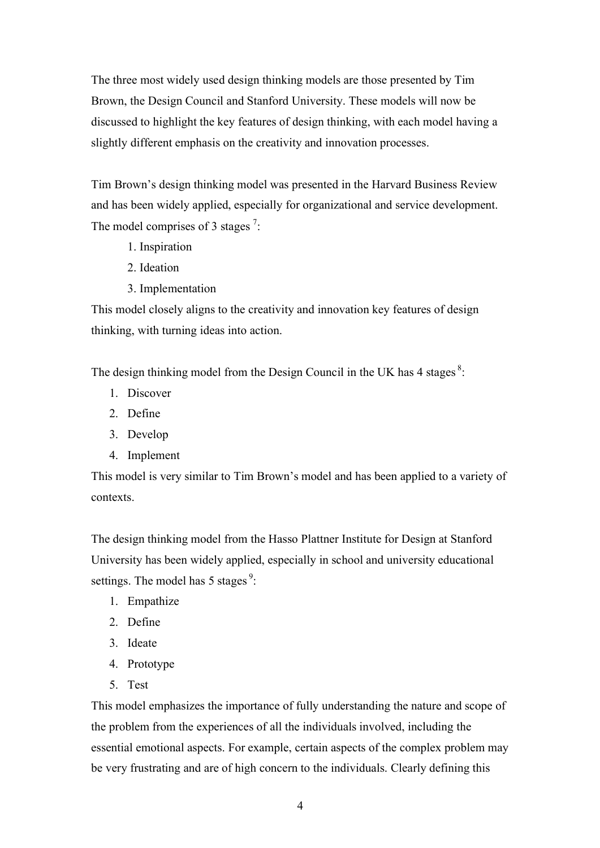The three most widely used design thinking models are those presented by Tim Brown, the Design Council and Stanford University. These models will now be discussed to highlight the key features of design thinking, with each model having a slightly different emphasis on the creativity and innovation processes.

Tim Brown's design thinking model was presented in the Harvard Business Review and has been widely applied, especially for organizational and service development. The model comprises of 3 stages  $7$ :

- 1. Inspiration
- 2. Ideation
- 3. Implementation

This model closely aligns to the creativity and innovation key features of design thinking, with turning ideas into action.

The design thinking model from the Design Council in the UK has 4 stages  $8$ .

- 1. Discover
- 2. Define
- 3. Develop
- 4. Implement

This model is very similar to Tim Brown's model and has been applied to a variety of contexts.

The design thinking model from the Hasso Plattner Institute for Design at Stanford University has been widely applied, especially in school and university educational settings. The model has 5 stages<sup>9</sup>:

- 1. Empathize
- 2. Define
- 3. Ideate
- 4. Prototype
- 5. Test

This model emphasizes the importance of fully understanding the nature and scope of the problem from the experiences of all the individuals involved, including the essential emotional aspects. For example, certain aspects of the complex problem may be very frustrating and are of high concern to the individuals. Clearly defining this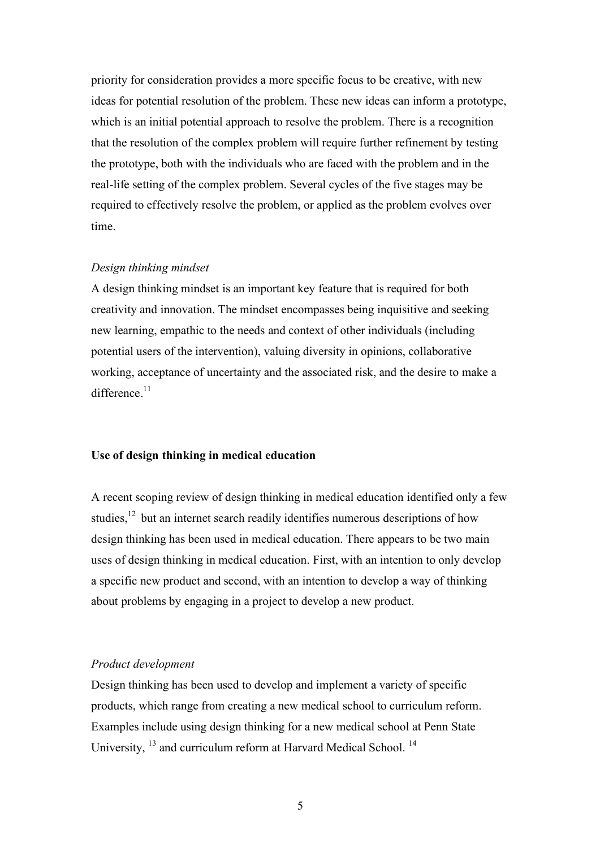priority for consideration provides a more specific focus to be creative, with new ideas for potential resolution of the problem. These new ideas can inform a prototype, which is an initial potential approach to resolve the problem. There is a recognition that the resolution of the complex problem will require further refinement by testing the prototype, both with the individuals who are faced with the problem and in the real-life setting of the complex problem. Several cycles of the five stages may be required to effectively resolve the problem, or applied as the problem evolves over time.

#### *Design thinking mindset*

A design thinking mindset is an important key feature that is required for both creativity and innovation. The mindset encompasses being inquisitive and seeking new learning, empathic to the needs and context of other individuals (including potential users of the intervention), valuing diversity in opinions, collaborative working, acceptance of uncertainty and the associated risk, and the desire to make a difference $11$ 

#### **Use of design thinking in medical education**

A recent scoping review of design thinking in medical education identified only a few studies,<sup>12</sup> but an internet search readily identifies numerous descriptions of how design thinking has been used in medical education. There appears to be two main uses of design thinking in medical education. First, with an intention to only develop a specific new product and second, with an intention to develop a way of thinking about problems by engaging in a project to develop a new product.

#### *Product development*

Design thinking has been used to develop and implement a variety of specific products, which range from creating a new medical school to curriculum reform. Examples include using design thinking for a new medical school at Penn State University, <sup>13</sup> and curriculum reform at Harvard Medical School.<sup>14</sup>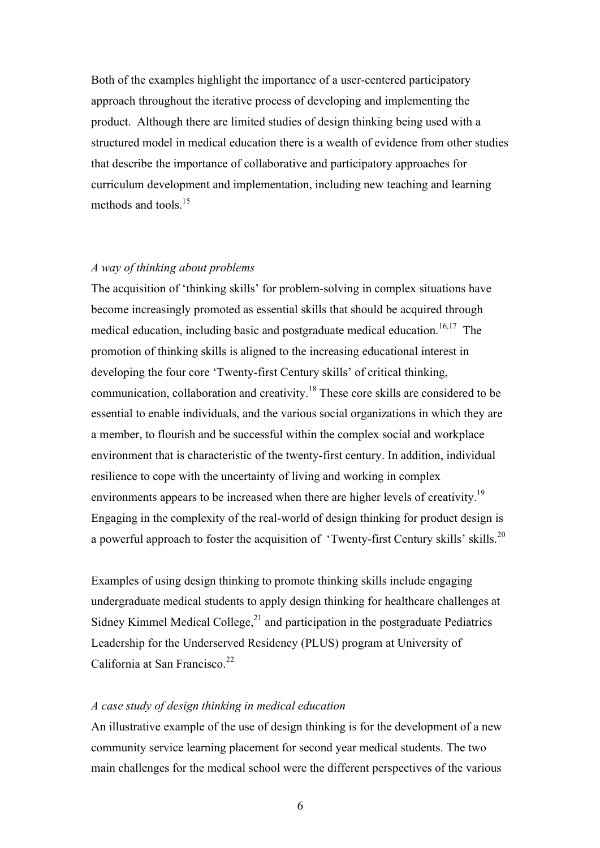Both of the examples highlight the importance of a user-centered participatory approach throughout the iterative process of developing and implementing the product. Although there are limited studies of design thinking being used with a structured model in medical education there is a wealth of evidence from other studies that describe the importance of collaborative and participatory approaches for curriculum development and implementation, including new teaching and learning methods and tools.<sup>15</sup>

# *A way of thinking about problems*

The acquisition of 'thinking skills' for problem-solving in complex situations have become increasingly promoted as essential skills that should be acquired through medical education, including basic and postgraduate medical education.<sup>16,17</sup> The promotion of thinking skills is aligned to the increasing educational interest in developing the four core 'Twenty-first Century skills' of critical thinking, communication, collaboration and creativity.<sup>18</sup> These core skills are considered to be essential to enable individuals, and the various social organizations in which they are a member, to flourish and be successful within the complex social and workplace environment that is characteristic of the twenty-first century. In addition, individual resilience to cope with the uncertainty of living and working in complex environments appears to be increased when there are higher levels of creativity.<sup>19</sup> Engaging in the complexity of the real-world of design thinking for product design is a powerful approach to foster the acquisition of 'Twenty-first Century skills' skills.<sup>20</sup>

Examples of using design thinking to promote thinking skills include engaging undergraduate medical students to apply design thinking for healthcare challenges at Sidney Kimmel Medical College, $^{21}$  and participation in the postgraduate Pediatrics Leadership for the Underserved Residency (PLUS) program at University of California at San Francisco.<sup>22</sup>

# *A case study of design thinking in medical education*

An illustrative example of the use of design thinking is for the development of a new community service learning placement for second year medical students. The two main challenges for the medical school were the different perspectives of the various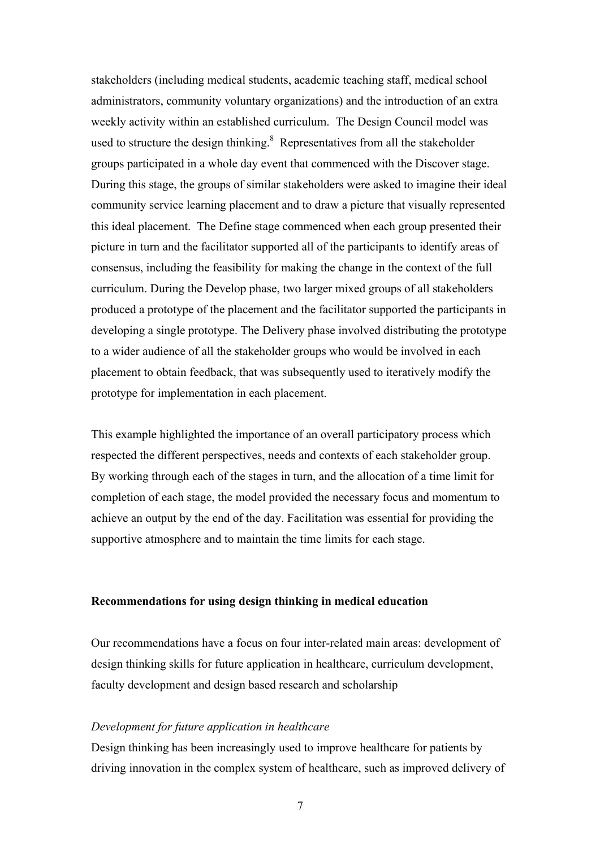stakeholders (including medical students, academic teaching staff, medical school administrators, community voluntary organizations) and the introduction of an extra weekly activity within an established curriculum. The Design Council model was used to structure the design thinking.<sup>8</sup> Representatives from all the stakeholder groups participated in a whole day event that commenced with the Discover stage. During this stage, the groups of similar stakeholders were asked to imagine their ideal community service learning placement and to draw a picture that visually represented this ideal placement. The Define stage commenced when each group presented their picture in turn and the facilitator supported all of the participants to identify areas of consensus, including the feasibility for making the change in the context of the full curriculum. During the Develop phase, two larger mixed groups of all stakeholders produced a prototype of the placement and the facilitator supported the participants in developing a single prototype. The Delivery phase involved distributing the prototype to a wider audience of all the stakeholder groups who would be involved in each placement to obtain feedback, that was subsequently used to iteratively modify the prototype for implementation in each placement.

This example highlighted the importance of an overall participatory process which respected the different perspectives, needs and contexts of each stakeholder group. By working through each of the stages in turn, and the allocation of a time limit for completion of each stage, the model provided the necessary focus and momentum to achieve an output by the end of the day. Facilitation was essential for providing the supportive atmosphere and to maintain the time limits for each stage.

# **Recommendations for using design thinking in medical education**

Our recommendations have a focus on four inter-related main areas: development of design thinking skills for future application in healthcare, curriculum development, faculty development and design based research and scholarship

### *Development for future application in healthcare*

Design thinking has been increasingly used to improve healthcare for patients by driving innovation in the complex system of healthcare, such as improved delivery of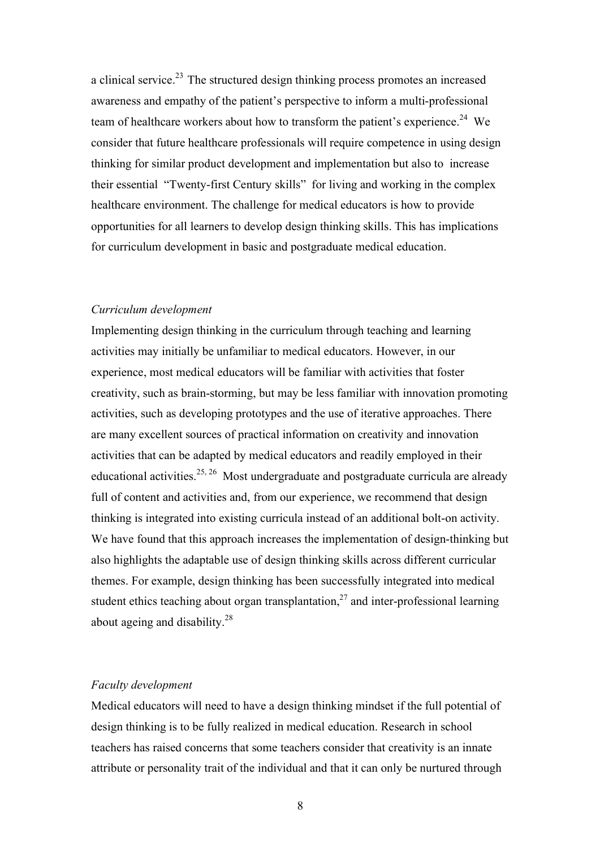a clinical service.<sup>23</sup> The structured design thinking process promotes an increased awareness and empathy of the patient's perspective to inform a multi-professional team of healthcare workers about how to transform the patient's experience.<sup>24</sup> We consider that future healthcare professionals will require competence in using design thinking for similar product development and implementation but also to increase their essential "Twenty-first Century skills" for living and working in the complex healthcare environment. The challenge for medical educators is how to provide opportunities for all learners to develop design thinking skills. This has implications for curriculum development in basic and postgraduate medical education.

#### *Curriculum development*

Implementing design thinking in the curriculum through teaching and learning activities may initially be unfamiliar to medical educators. However, in our experience, most medical educators will be familiar with activities that foster creativity, such as brain-storming, but may be less familiar with innovation promoting activities, such as developing prototypes and the use of iterative approaches. There are many excellent sources of practical information on creativity and innovation activities that can be adapted by medical educators and readily employed in their educational activities.<sup>25, 26</sup> Most undergraduate and postgraduate curricula are already full of content and activities and, from our experience, we recommend that design thinking is integrated into existing curricula instead of an additional bolt-on activity. We have found that this approach increases the implementation of design-thinking but also highlights the adaptable use of design thinking skills across different curricular themes. For example, design thinking has been successfully integrated into medical student ethics teaching about organ transplantation, $^{27}$  and inter-professional learning about ageing and disability.<sup>28</sup>

### *Faculty development*

Medical educators will need to have a design thinking mindset if the full potential of design thinking is to be fully realized in medical education. Research in school teachers has raised concerns that some teachers consider that creativity is an innate attribute or personality trait of the individual and that it can only be nurtured through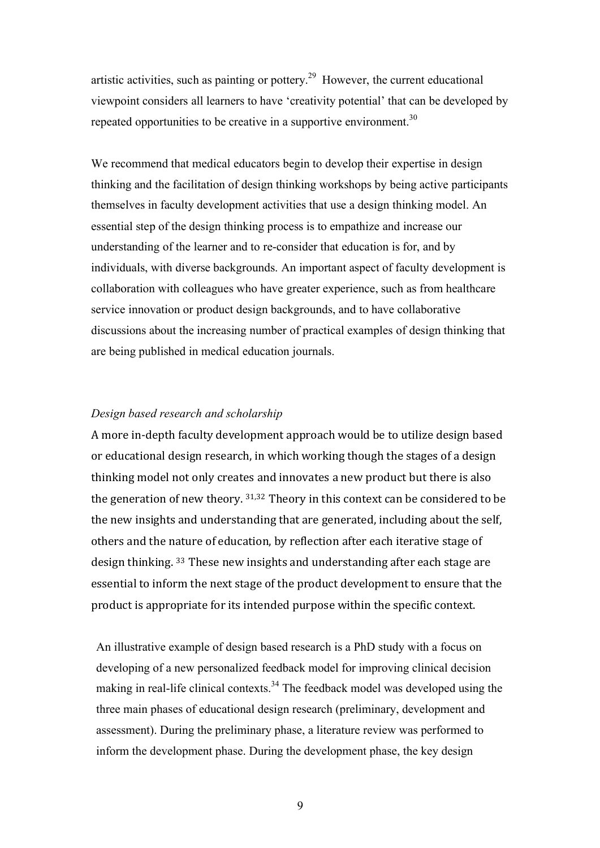artistic activities, such as painting or pottery.<sup>29</sup> However, the current educational viewpoint considers all learners to have 'creativity potential' that can be developed by repeated opportunities to be creative in a supportive environment.<sup>30</sup>

We recommend that medical educators begin to develop their expertise in design thinking and the facilitation of design thinking workshops by being active participants themselves in faculty development activities that use a design thinking model. An essential step of the design thinking process is to empathize and increase our understanding of the learner and to re-consider that education is for, and by individuals, with diverse backgrounds. An important aspect of faculty development is collaboration with colleagues who have greater experience, such as from healthcare service innovation or product design backgrounds, and to have collaborative discussions about the increasing number of practical examples of design thinking that are being published in medical education journals.

# *Design based research and scholarship*

A more in-depth faculty development approach would be to utilize design based or educational design research, in which working though the stages of a design thinking model not only creates and innovates a new product but there is also the generation of new theory. 31,32 Theory in this context can be considered to be the new insights and understanding that are generated, including about the self, others and the nature of education, by reflection after each iterative stage of design thinking. <sup>33</sup> These new insights and understanding after each stage are essential to inform the next stage of the product development to ensure that the product is appropriate for its intended purpose within the specific context. 

An illustrative example of design based research is a PhD study with a focus on developing of a new personalized feedback model for improving clinical decision making in real-life clinical contexts.<sup>34</sup> The feedback model was developed using the three main phases of educational design research (preliminary, development and assessment). During the preliminary phase, a literature review was performed to inform the development phase. During the development phase, the key design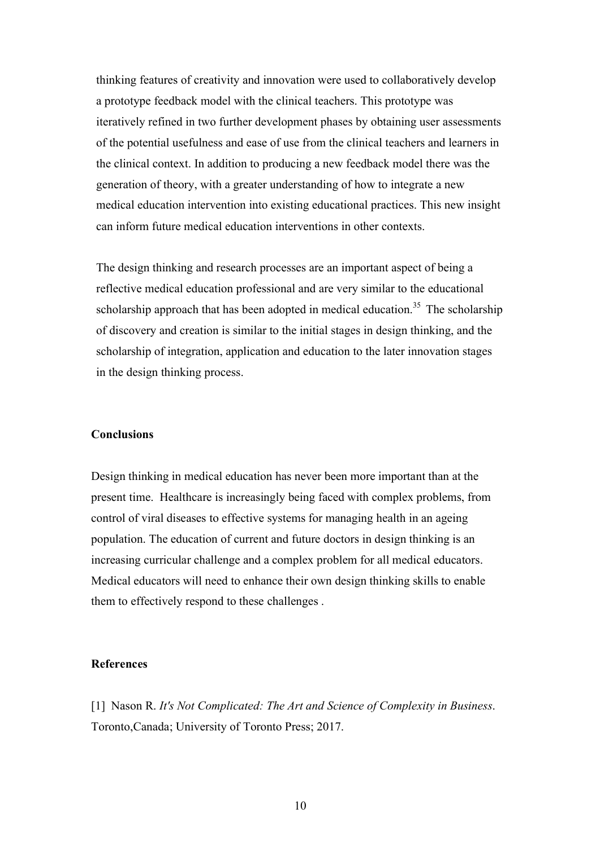thinking features of creativity and innovation were used to collaboratively develop a prototype feedback model with the clinical teachers. This prototype was iteratively refined in two further development phases by obtaining user assessments of the potential usefulness and ease of use from the clinical teachers and learners in the clinical context. In addition to producing a new feedback model there was the generation of theory, with a greater understanding of how to integrate a new medical education intervention into existing educational practices. This new insight can inform future medical education interventions in other contexts.

The design thinking and research processes are an important aspect of being a reflective medical education professional and are very similar to the educational scholarship approach that has been adopted in medical education.<sup>35</sup> The scholarship of discovery and creation is similar to the initial stages in design thinking, and the scholarship of integration, application and education to the later innovation stages in the design thinking process.

# **Conclusions**

Design thinking in medical education has never been more important than at the present time. Healthcare is increasingly being faced with complex problems, from control of viral diseases to effective systems for managing health in an ageing population. The education of current and future doctors in design thinking is an increasing curricular challenge and a complex problem for all medical educators. Medical educators will need to enhance their own design thinking skills to enable them to effectively respond to these challenges .

#### **References**

[1] Nason R. *It's Not Complicated: The Art and Science of Complexity in Business*. Toronto,Canada; University of Toronto Press; 2017.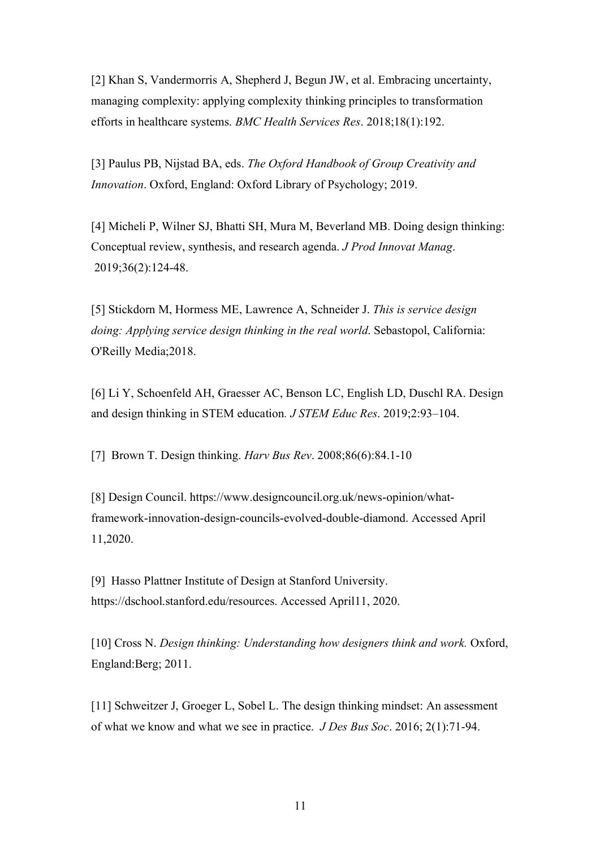[2] Khan S, Vandermorris A, Shepherd J, Begun JW, et al. Embracing uncertainty, managing complexity: applying complexity thinking principles to transformation efforts in healthcare systems. *BMC Health Services Res*. 2018;18(1):192.

[3] Paulus PB, Nijstad BA, eds. *The Oxford Handbook of Group Creativity and Innovation*. Oxford, England: Oxford Library of Psychology; 2019.

[4] Micheli P, Wilner SJ, Bhatti SH, Mura M, Beverland MB. Doing design thinking: Conceptual review, synthesis, and research agenda. *J Prod Innovat Manag*. 2019;36(2):124-48.

[5] Stickdorn M, Hormess ME, Lawrence A, Schneider J. *This is service design doing: Applying service design thinking in the real world*. Sebastopol, California: O'Reilly Media;2018.

[6] Li Y, Schoenfeld AH, Graesser AC, Benson LC, English LD, Duschl RA. Design and design thinking in STEM education*. J STEM Educ Res*. 2019;2:93–104.

[7] Brown T. Design thinking. *Harv Bus Rev*. 2008;86(6):84.1-10

[8] Design Council. https://www.designcouncil.org.uk/news-opinion/whatframework-innovation-design-councils-evolved-double-diamond. Accessed April 11,2020.

[9] Hasso Plattner Institute of Design at Stanford University. https://dschool.stanford.edu/resources. Accessed April11, 2020.

[10] Cross N. *Design thinking: Understanding how designers think and work.* Oxford, England:Berg; 2011.

[11] Schweitzer J, Groeger L, Sobel L. The design thinking mindset: An assessment of what we know and what we see in practice. *J Des Bus Soc*. 2016; 2(1):71-94.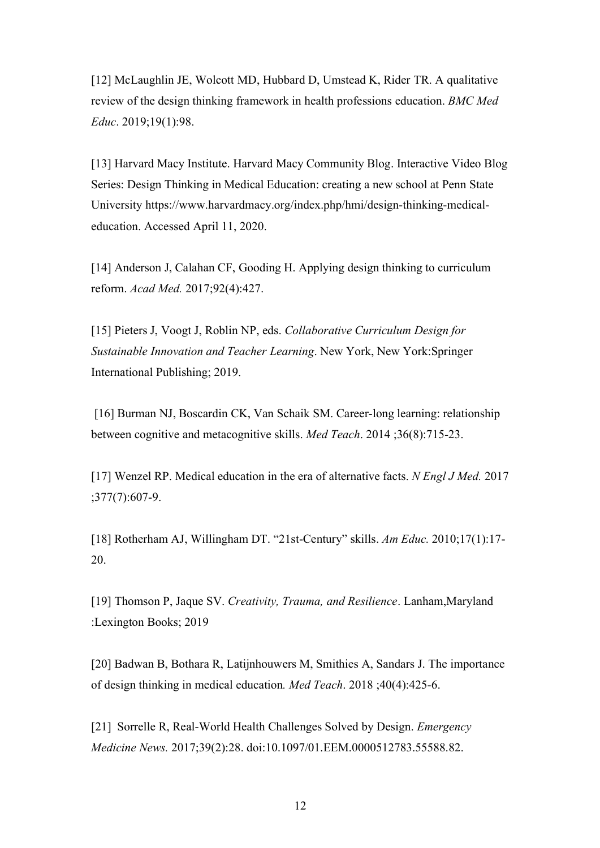[12] McLaughlin JE, Wolcott MD, Hubbard D, Umstead K, Rider TR. A qualitative review of the design thinking framework in health professions education. *BMC Med Educ*. 2019;19(1):98.

[13] Harvard Macy Institute. Harvard Macy Community Blog. Interactive Video Blog Series: Design Thinking in Medical Education: creating a new school at Penn State University https://www.harvardmacy.org/index.php/hmi/design-thinking-medicaleducation. Accessed April 11, 2020.

[14] Anderson J, Calahan CF, Gooding H. Applying design thinking to curriculum reform. *Acad Med.* 2017;92(4):427.

[15] Pieters J, Voogt J, Roblin NP, eds. *Collaborative Curriculum Design for Sustainable Innovation and Teacher Learning*. New York, New York:Springer International Publishing; 2019.

[16] Burman NJ, Boscardin CK, Van Schaik SM. Career-long learning: relationship between cognitive and metacognitive skills. *Med Teach*. 2014 ;36(8):715-23.

[17] Wenzel RP. Medical education in the era of alternative facts. *N Engl J Med.* 2017 ;377(7):607-9.

[18] Rotherham AJ, Willingham DT. "21st-Century" skills. *Am Educ.* 2010;17(1):17- 20.

[19] Thomson P, Jaque SV. *Creativity, Trauma, and Resilience*. Lanham,Maryland :Lexington Books; 2019

[20] Badwan B, Bothara R, Latijnhouwers M, Smithies A, Sandars J. The importance of design thinking in medical education*. Med Teach*. 2018 ;40(4):425-6.

[21] Sorrelle R, Real-World Health Challenges Solved by Design. *Emergency Medicine News.* 2017;39(2):28. doi:10.1097/01.EEM.0000512783.55588.82.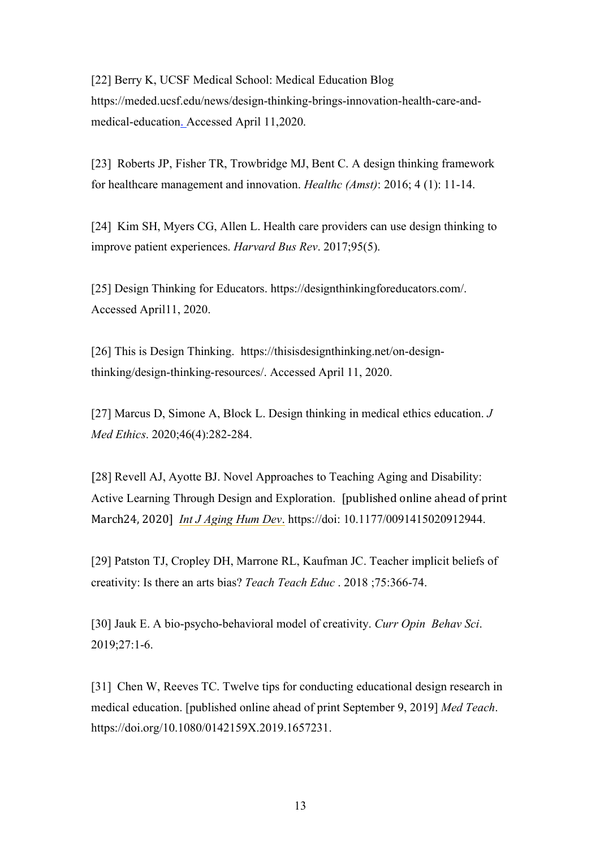[22] Berry K, UCSF Medical School: Medical Education Blog https://meded.ucsf.edu/news/design-thinking-brings-innovation-health-care-andmedical-education. Accessed April 11,2020.

[23] Roberts JP, Fisher TR, Trowbridge MJ, Bent C. A design thinking framework for healthcare management and innovation. *Healthc (Amst)*: 2016; 4 (1): 11-14.

[24] Kim SH, Myers CG, Allen L. Health care providers can use design thinking to improve patient experiences. *Harvard Bus Rev*. 2017;95(5).

[25] Design Thinking for Educators. https://designthinkingforeducators.com/. Accessed April11, 2020.

[26] This is Design Thinking. https://thisisdesignthinking.net/on-designthinking/design-thinking-resources/. Accessed April 11, 2020.

[27] Marcus D, Simone A, Block L. Design thinking in medical ethics education. *J Med Ethics*. 2020;46(4):282-284.

[28] Revell AJ, Ayotte BJ. Novel Approaches to Teaching Aging and Disability: Active Learning Through Design and Exploration. [published online ahead of print March24, 2020] *Int J Aging Hum Dev*. https://doi: 10.1177/0091415020912944.

[29] Patston TJ, Cropley DH, Marrone RL, Kaufman JC. Teacher implicit beliefs of creativity: Is there an arts bias? *Teach Teach Educ* . 2018 ;75:366-74.

[30] Jauk E. A bio-psycho-behavioral model of creativity. *Curr Opin Behav Sci*. 2019;27:1-6.

[31] Chen W, Reeves TC. Twelve tips for conducting educational design research in medical education. [published online ahead of print September 9, 2019] *Med Teach*. https://doi.org/10.1080/0142159X.2019.1657231.